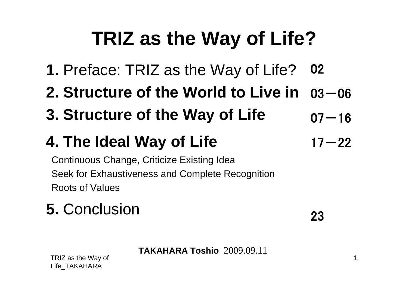# **TRIZ as the Way of Life?**

- **1.** Preface: TRIZ as the Way of Life? 02
- **2. Structure of the World to Live in**   $03 - 06$
- **3. Structure of the Way of Life**  $07 - 16$

## **4. The Ideal Way of Life**

Continuous Change, Criticize Existing Idea Seek for Exhaustiveness and Complete Recognition Roots of Values

### **5.** Conclusion

23

 $17 - 22$ 

**TAKAHARA Toshio** 2009.09.11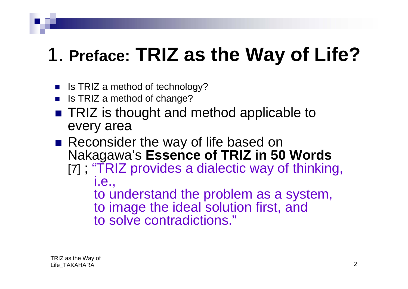# 1. **Preface: TRIZ as the Way of Life?**

- F. Is TRIZ a method of technology?
- F. Is TRIZ a method of change?
- TRIZ is thought and method applicable to every area
- Reconsider the way of life based on Nakagawa's **Essence of TRIZ in 50 Words**  [7] ; "TRIZ provides a dialectic way of thinking, i.e., to understand the problem as a system, to image the ideal solution first, and to solve contradictions."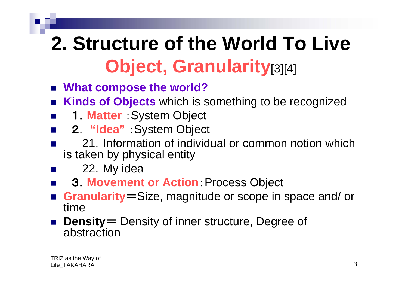# **2. Structure of the World To Live Object, Granularity**[3][4]

- What compose the world?
- $\mathbb{R}^2$ **Kinds of Objects** which is something to be recognized
- $\mathbb{R}^2$ 1.**Matter** :System Object
- $\mathcal{L}^{\text{max}}$ 2. **"Idea"** :System Object
- $\mathbb{R}^2$  21.Information of individual or common notion which is taken by physical entity
	- 22.My idea
- $\mathbb{R}^2$ 3.**Movement or Action**:Process Object
- $\mathbb{R}^2$  **Granularity**=Size, magnitude or scope in space and/ or time
- Density= Density of inner structure, Degree of abstraction

 $\mathbb{R}^2$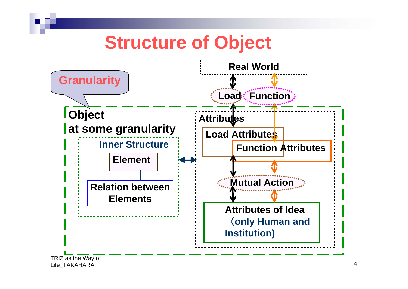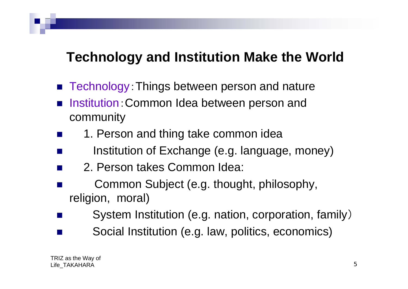#### **Technology and Institution Make the World**

- Technology: Things between person and nature
- Institution:Common Idea between person and community
- F 1. Person and thing take common idea
- F Institution of Exchange (e.g. language, money)
- F 2. Person takes Common Idea:
- F Common Subject (e.g. thought, philosophy, religion, moral)
- System Institution (e.g. nation, corporation, family)
- Social Institution (e.g. law, politics, economics)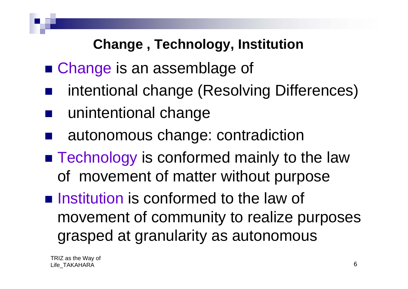#### **Change , Technology, Institution**

- Change is an assemblage of
- intentional change (Resolving Differences)
- unintentional change
- autonomous change: contradiction
- **Technology is conformed mainly to the law** of movement of matter without purpose
- **Institution is conformed to the law of** movement of community to realize purposes grasped at granularity as autonomous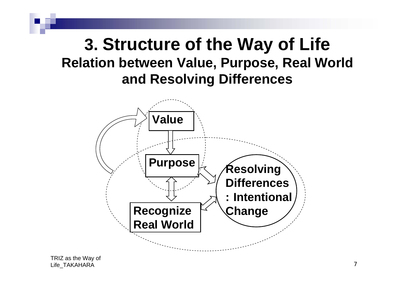#### **3. Structure of the Way of Life Relation between Value, Purpose, Real World and Resolving Differences**

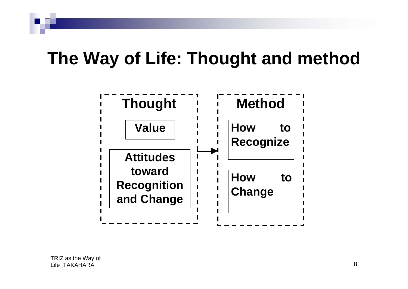## **The Way of Life: Thought and method**

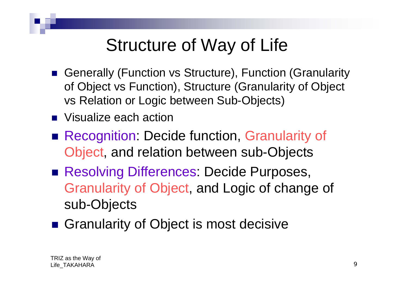## Structure of Way of Life

- Generally (Function vs Structure), Function (Granularity of Object vs Function), Structure (Granularity of Object vs Relation or Logic between Sub-Objects)
- **Notalize each action**
- **Recognition: Decide function, Granularity of** Object, and relation between sub-Objects
- Resolving Differences: Decide Purposes, Granularity of Object, and Logic of change of sub-Objects
- Granularity of Object is most decisive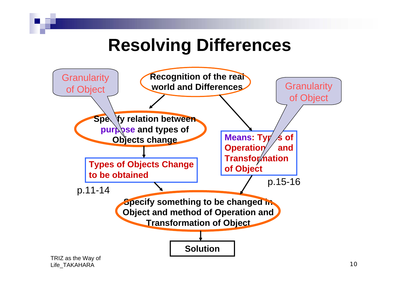### **Resolving Differences**

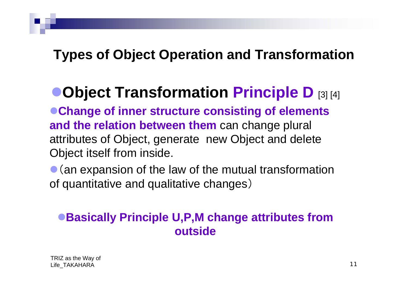#### **Types of Object Operation and Transformation**

### <sup>z</sup>**Object Transformation Principle D** [3] [4]

● Change of inner structure consisting of elements **and the relation between them** can change plural attributes of Object, generate new Object and delete Object itself from inside.

 $\bullet$  (an expansion of the law of the mutual transformation of quantitative and qualitative changes)

#### <sup>z</sup>**Basically Principle U,P,M change attributes from outside**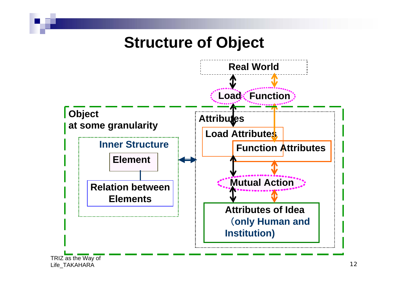#### **Structure of Object**

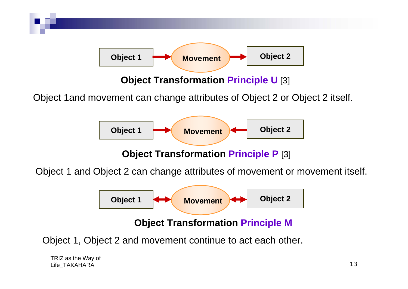

**Object Transformation Principle P** [3]

Object 1 and Object 2 can change attributes of movement or movement itself.



Object 1, Object 2 and movement continue to act each other.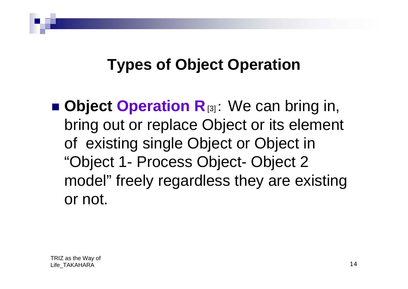### **Types of Object Operation**

**E** Object Operation **R**<sub>[3]</sub>: We can bring in, bring out or replace Object or its element of existing single Object or Object in "Object 1- Process Object- Object 2 model" freely regardless they are existing or not.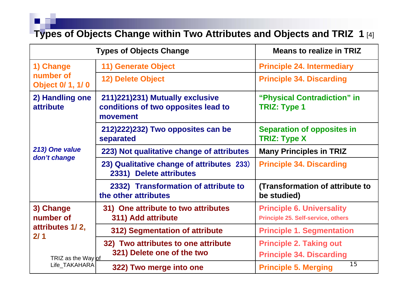**Types of Objects Change within Two Attributes and Objects and TRIZ 1** [4]

|                                                                                         | <b>Types of Objects Change</b>                                                     | <b>Means to realize in TRIZ</b>                                               |
|-----------------------------------------------------------------------------------------|------------------------------------------------------------------------------------|-------------------------------------------------------------------------------|
| 1) Change<br>number of<br><b>Object 0/ 1, 1/ 0</b>                                      | <b>11) Generate Object</b>                                                         | <b>Principle 24. Intermediary</b>                                             |
|                                                                                         | <b>12) Delete Object</b>                                                           | <b>Principle 34. Discarding</b>                                               |
| 2) Handling one<br>attribute<br>213) One value<br>don't change                          | 211)221)231) Mutually exclusive<br>conditions of two opposites lead to<br>movement | "Physical Contradiction" in<br><b>TRIZ: Type 1</b>                            |
|                                                                                         | 212)222)232) Two opposites can be<br>separated                                     | <b>Separation of opposites in</b><br><b>TRIZ: Type X</b>                      |
|                                                                                         | 223) Not qualitative change of attributes                                          | <b>Many Principles in TRIZ</b>                                                |
|                                                                                         | 23) Qualitative change of attributes 233)<br>2331) Delete attributes               | <b>Principle 34. Discarding</b>                                               |
|                                                                                         | 2332) Transformation of attribute to<br>the other attributes                       | (Transformation of attribute to<br>be studied)                                |
| 3) Change<br>number of<br>attributes 1/2,<br>2/1<br>TRIZ as the Way of<br>Life TAKAHARA | 31) One attribute to two attributes<br>311) Add attribute                          | <b>Principle 6. Universality</b><br><b>Principle 25. Self-service, others</b> |
|                                                                                         | 312) Segmentation of attribute                                                     | <b>Principle 1. Segmentation</b>                                              |
|                                                                                         | 32) Two attributes to one attribute<br>321) Delete one of the two                  | <b>Principle 2. Taking out</b><br><b>Principle 34. Discarding</b>             |
|                                                                                         | 322) Two merge into one                                                            | 15<br><b>Principle 5. Merging</b>                                             |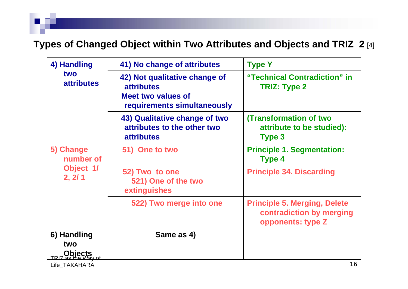#### **Types of Changed Object within Two Attributes and Objects and TRIZ 2** [4]

| 4) Handling<br>two<br><b>attributes</b>       | 41) No change of attributes                                                                             | <b>Type Y</b>                                                                        |
|-----------------------------------------------|---------------------------------------------------------------------------------------------------------|--------------------------------------------------------------------------------------|
|                                               | 42) Not qualitative change of<br><b>attributes</b><br>Meet two values of<br>requirements simultaneously | "Technical Contradiction" in<br><b>TRIZ: Type 2</b>                                  |
|                                               | 43) Qualitative change of two<br>attributes to the other two<br><b>attributes</b>                       | <b>(Transformation of two</b><br>attribute to be studied):<br>Type 3                 |
| 5) Change<br>number of<br>Object 1/<br>2, 2/1 | 51) One to two                                                                                          | <b>Principle 1. Segmentation:</b><br>Type 4                                          |
|                                               | 52) Two to one<br>521) One of the two<br>extinguishes                                                   | <b>Principle 34. Discarding</b>                                                      |
|                                               | 522) Two merge into one                                                                                 | <b>Principle 5. Merging, Delete</b><br>contradiction by merging<br>opponents: type Z |
| 6) Handling                                   | Same as 4)                                                                                              |                                                                                      |
| two                                           |                                                                                                         |                                                                                      |
| <b>Objects</b><br>TRIZ as the Way of          |                                                                                                         |                                                                                      |
| Life TAKAHARA                                 |                                                                                                         | 16                                                                                   |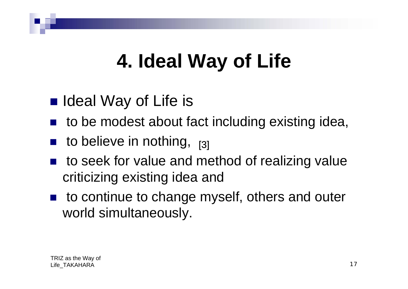# **4. Ideal Way of Life**

- Ideal Way of Life is
- to be modest about fact including existing idea,
- $\blacksquare$  to believe in nothing,  $_{[3]}$
- to seek for value and method of realizing value criticizing existing idea and
- to continue to change myself, others and outer world simultaneously.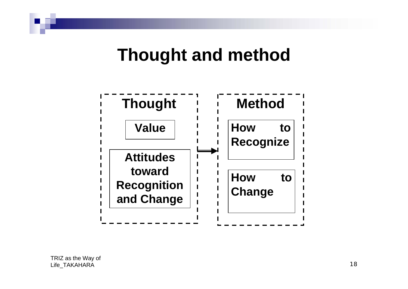### **Thought and method**

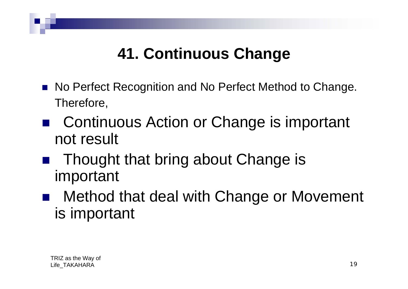### **41. Continuous Change**

- No Perfect Recognition and No Perfect Method to Change. Therefore,
- Continuous Action or Change is important not result
- Thought that bring about Change is important
- $\mathcal{L}_{\mathcal{A}}$  Method that deal with Change or Movement is important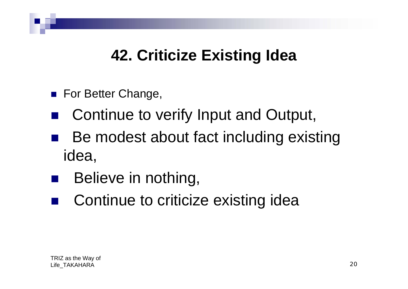### **42. Criticize Existing Idea**

- **For Better Change,**
- $\mathcal{L}_{\mathcal{A}}$ Continue to verify Input and Output,
- $\mathcal{L}_{\mathcal{A}}$  Be modest about fact including existing idea,
- $\mathcal{L}_{\mathcal{A}}$ Believe in nothing,
- Continue to criticize existing idea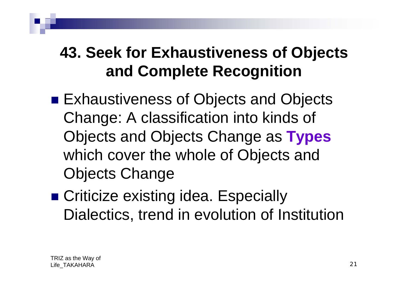### **43. Seek for Exhaustiveness of Objects and Complete Recognition**

- Exhaustiveness of Objects and Objects Change: A classification into kinds of Objects and Objects Change as **Types** which cover the whole of Objects and Objects Change
- Criticize existing idea. Especially Dialectics, trend in evolution of Institution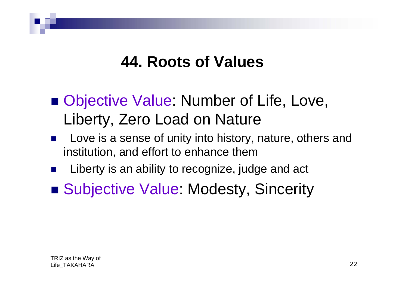#### **44. Roots of Values**

- Objective Value: Number of Life, Love, Liberty, Zero Load on Nature
- p. Love is a sense of unity into history, nature, others and institution, and effort to enhance them
- $\mathbb{R}^2$ Liberty is an ability to recognize, judge and act
- Subjective Value: Modesty, Sincerity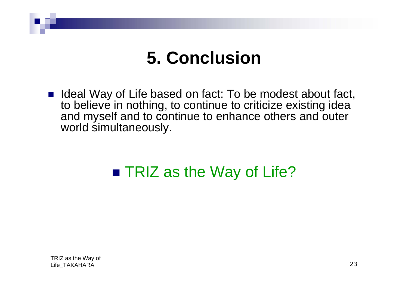### **5. Conclusion**

■ Ideal Way of Life based on fact: To be modest about fact, to believe in nothing, to continue to criticize existing idea and myself and to continue to enhance others and outer world simultaneously.

### ■ TRIZ as the Way of Life?